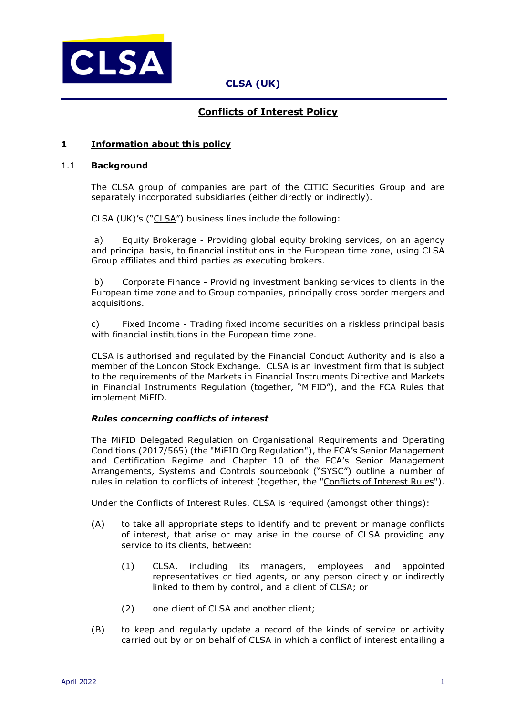

## **Conflicts of Interest Policy**

### **1 Information about this policy**

#### 1.1 **Background**

The CLSA group of companies are part of the CITIC Securities Group and are separately incorporated subsidiaries (either directly or indirectly).

CLSA (UK)'s ("CLSA") business lines include the following:

a) Equity Brokerage - Providing global equity broking services, on an agency and principal basis, to financial institutions in the European time zone, using CLSA Group affiliates and third parties as executing brokers.

b) Corporate Finance - Providing investment banking services to clients in the European time zone and to Group companies, principally cross border mergers and acquisitions.

c) Fixed Income - Trading fixed income securities on a riskless principal basis with financial institutions in the European time zone.

CLSA is authorised and regulated by the Financial Conduct Authority and is also a member of the London Stock Exchange. CLSA is an investment firm that is subject to the requirements of the Markets in Financial Instruments Directive and Markets in Financial Instruments Regulation (together, "MiFID"), and the FCA Rules that implement MiFID.

## *Rules concerning conflicts of interest*

The MiFID Delegated Regulation on Organisational Requirements and Operating Conditions (2017/565) (the "MiFID Org Regulation"), the FCA's Senior Management and Certification Regime and Chapter 10 of the FCA's Senior Management Arrangements, Systems and Controls sourcebook ("SYSC") outline a number of rules in relation to conflicts of interest (together, the "Conflicts of Interest Rules").

Under the Conflicts of Interest Rules, CLSA is required (amongst other things):

- (A) to take all appropriate steps to identify and to prevent or manage conflicts of interest, that arise or may arise in the course of CLSA providing any service to its clients, between:
	- (1) CLSA, including its managers, employees and appointed representatives or tied agents, or any person directly or indirectly linked to them by control, and a client of CLSA; or
	- (2) one client of CLSA and another client;
- (B) to keep and regularly update a record of the kinds of service or activity carried out by or on behalf of CLSA in which a conflict of interest entailing a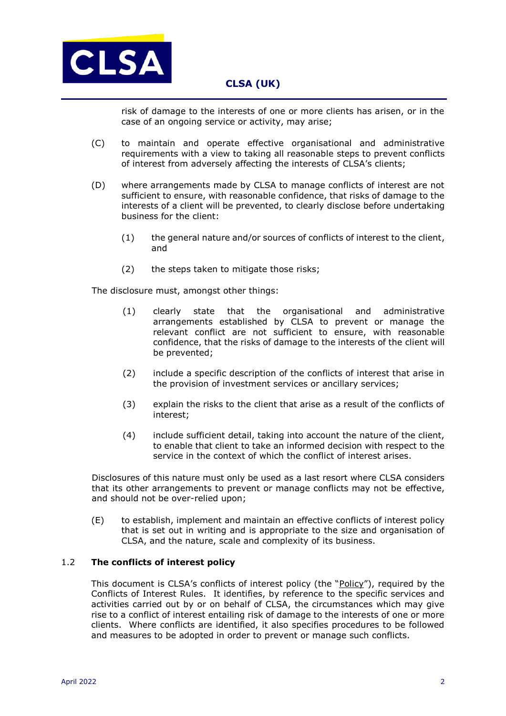

risk of damage to the interests of one or more clients has arisen, or in the case of an ongoing service or activity, may arise;

- (C) to maintain and operate effective organisational and administrative requirements with a view to taking all reasonable steps to prevent conflicts of interest from adversely affecting the interests of CLSA's clients;
- (D) where arrangements made by CLSA to manage conflicts of interest are not sufficient to ensure, with reasonable confidence, that risks of damage to the interests of a client will be prevented, to clearly disclose before undertaking business for the client:
	- (1) the general nature and/or sources of conflicts of interest to the client, and
	- (2) the steps taken to mitigate those risks;

The disclosure must, amongst other things:

- (1) clearly state that the organisational and administrative arrangements established by CLSA to prevent or manage the relevant conflict are not sufficient to ensure, with reasonable confidence, that the risks of damage to the interests of the client will be prevented;
- (2) include a specific description of the conflicts of interest that arise in the provision of investment services or ancillary services;
- (3) explain the risks to the client that arise as a result of the conflicts of interest;
- (4) include sufficient detail, taking into account the nature of the client, to enable that client to take an informed decision with respect to the service in the context of which the conflict of interest arises.

Disclosures of this nature must only be used as a last resort where CLSA considers that its other arrangements to prevent or manage conflicts may not be effective, and should not be over-relied upon;

(E) to establish, implement and maintain an effective conflicts of interest policy that is set out in writing and is appropriate to the size and organisation of CLSA, and the nature, scale and complexity of its business.

### 1.2 **The conflicts of interest policy**

This document is CLSA's conflicts of interest policy (the "Policy"), required by the Conflicts of Interest Rules. It identifies, by reference to the specific services and activities carried out by or on behalf of CLSA, the circumstances which may give rise to a conflict of interest entailing risk of damage to the interests of one or more clients. Where conflicts are identified, it also specifies procedures to be followed and measures to be adopted in order to prevent or manage such conflicts.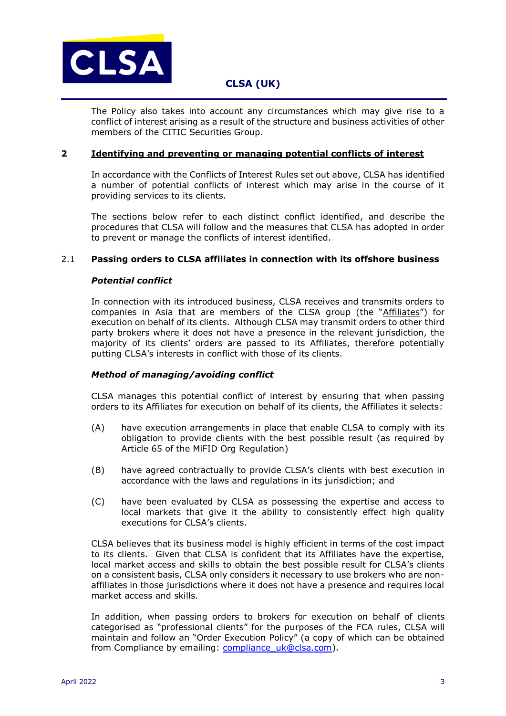

The Policy also takes into account any circumstances which may give rise to a conflict of interest arising as a result of the structure and business activities of other members of the CITIC Securities Group.

#### **2 Identifying and preventing or managing potential conflicts of interest**

In accordance with the Conflicts of Interest Rules set out above, CLSA has identified a number of potential conflicts of interest which may arise in the course of it providing services to its clients.

The sections below refer to each distinct conflict identified, and describe the procedures that CLSA will follow and the measures that CLSA has adopted in order to prevent or manage the conflicts of interest identified.

### 2.1 **Passing orders to CLSA affiliates in connection with its offshore business**

## *Potential conflict*

In connection with its introduced business, CLSA receives and transmits orders to companies in Asia that are members of the CLSA group (the "Affiliates") for execution on behalf of its clients. Although CLSA may transmit orders to other third party brokers where it does not have a presence in the relevant jurisdiction, the majority of its clients' orders are passed to its Affiliates, therefore potentially putting CLSA's interests in conflict with those of its clients.

### *Method of managing/avoiding conflict*

CLSA manages this potential conflict of interest by ensuring that when passing orders to its Affiliates for execution on behalf of its clients, the Affiliates it selects:

- (A) have execution arrangements in place that enable CLSA to comply with its obligation to provide clients with the best possible result (as required by Article 65 of the MiFID Org Regulation)
- (B) have agreed contractually to provide CLSA's clients with best execution in accordance with the laws and regulations in its jurisdiction; and
- (C) have been evaluated by CLSA as possessing the expertise and access to local markets that give it the ability to consistently effect high quality executions for CLSA's clients.

CLSA believes that its business model is highly efficient in terms of the cost impact to its clients. Given that CLSA is confident that its Affiliates have the expertise, local market access and skills to obtain the best possible result for CLSA's clients on a consistent basis, CLSA only considers it necessary to use brokers who are nonaffiliates in those jurisdictions where it does not have a presence and requires local market access and skills.

In addition, when passing orders to brokers for execution on behalf of clients categorised as "professional clients" for the purposes of the FCA rules, CLSA will maintain and follow an "Order Execution Policy" (a copy of which can be obtained from Compliance by emailing: compliance uk@clsa.com).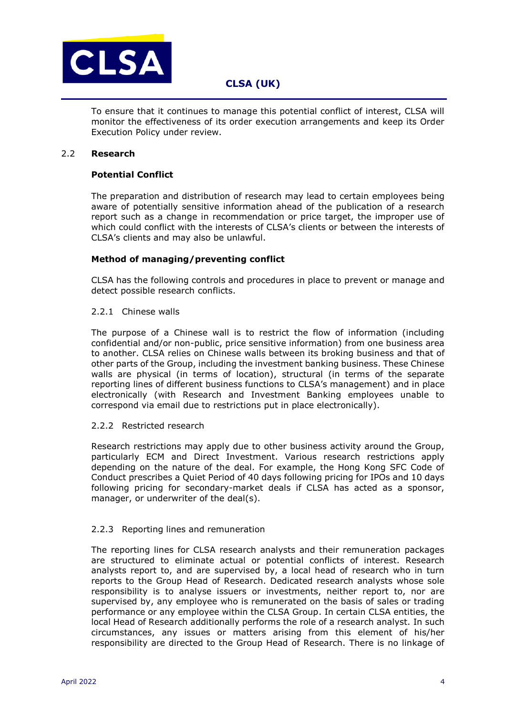

To ensure that it continues to manage this potential conflict of interest, CLSA will monitor the effectiveness of its order execution arrangements and keep its Order Execution Policy under review.

### 2.2 **Research**

## **Potential Conflict**

The preparation and distribution of research may lead to certain employees being aware of potentially sensitive information ahead of the publication of a research report such as a change in recommendation or price target, the improper use of which could conflict with the interests of CLSA's clients or between the interests of CLSA's clients and may also be unlawful.

## **Method of managing/preventing conflict**

CLSA has the following controls and procedures in place to prevent or manage and detect possible research conflicts.

### 2.2.1 Chinese walls

The purpose of a Chinese wall is to restrict the flow of information (including confidential and/or non-public, price sensitive information) from one business area to another. CLSA relies on Chinese walls between its broking business and that of other parts of the Group, including the investment banking business. These Chinese walls are physical (in terms of location), structural (in terms of the separate reporting lines of different business functions to CLSA's management) and in place electronically (with Research and Investment Banking employees unable to correspond via email due to restrictions put in place electronically).

### 2.2.2 Restricted research

Research restrictions may apply due to other business activity around the Group, particularly ECM and Direct Investment. Various research restrictions apply depending on the nature of the deal. For example, the Hong Kong SFC Code of Conduct prescribes a Quiet Period of 40 days following pricing for IPOs and 10 days following pricing for secondary-market deals if CLSA has acted as a sponsor, manager, or underwriter of the deal(s).

### 2.2.3 Reporting lines and remuneration

The reporting lines for CLSA research analysts and their remuneration packages are structured to eliminate actual or potential conflicts of interest. Research analysts report to, and are supervised by, a local head of research who in turn reports to the Group Head of Research. Dedicated research analysts whose sole responsibility is to analyse issuers or investments, neither report to, nor are supervised by, any employee who is remunerated on the basis of sales or trading performance or any employee within the CLSA Group. In certain CLSA entities, the local Head of Research additionally performs the role of a research analyst. In such circumstances, any issues or matters arising from this element of his/her responsibility are directed to the Group Head of Research. There is no linkage of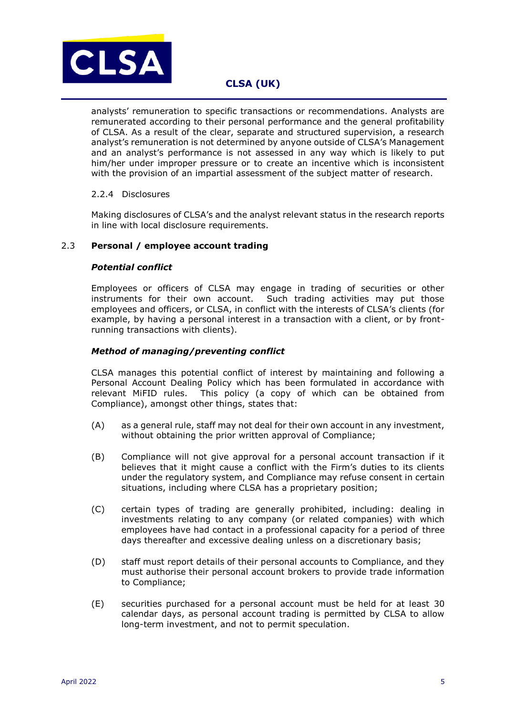

analysts' remuneration to specific transactions or recommendations. Analysts are remunerated according to their personal performance and the general profitability of CLSA. As a result of the clear, separate and structured supervision, a research analyst's remuneration is not determined by anyone outside of CLSA's Management and an analyst's performance is not assessed in any way which is likely to put him/her under improper pressure or to create an incentive which is inconsistent with the provision of an impartial assessment of the subject matter of research.

### 2.2.4 Disclosures

Making disclosures of CLSA's and the analyst relevant status in the research reports in line with local disclosure requirements.

### 2.3 **Personal / employee account trading**

### *Potential conflict*

Employees or officers of CLSA may engage in trading of securities or other instruments for their own account. Such trading activities may put those employees and officers, or CLSA, in conflict with the interests of CLSA's clients (for example, by having a personal interest in a transaction with a client, or by frontrunning transactions with clients).

### *Method of managing/preventing conflict*

CLSA manages this potential conflict of interest by maintaining and following a Personal Account Dealing Policy which has been formulated in accordance with relevant MiFID rules. This policy (a copy of which can be obtained from Compliance), amongst other things, states that:

- (A) as a general rule, staff may not deal for their own account in any investment, without obtaining the prior written approval of Compliance;
- (B) Compliance will not give approval for a personal account transaction if it believes that it might cause a conflict with the Firm's duties to its clients under the regulatory system, and Compliance may refuse consent in certain situations, including where CLSA has a proprietary position;
- (C) certain types of trading are generally prohibited, including: dealing in investments relating to any company (or related companies) with which employees have had contact in a professional capacity for a period of three days thereafter and excessive dealing unless on a discretionary basis;
- (D) staff must report details of their personal accounts to Compliance, and they must authorise their personal account brokers to provide trade information to Compliance;
- (E) securities purchased for a personal account must be held for at least 30 calendar days, as personal account trading is permitted by CLSA to allow long-term investment, and not to permit speculation.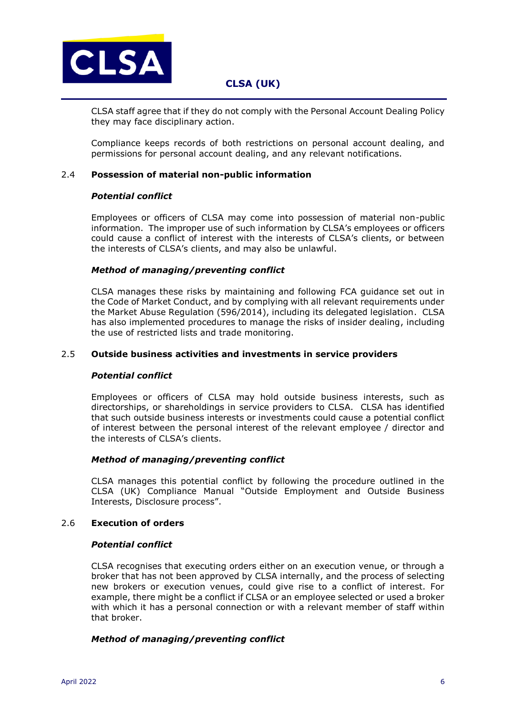

CLSA staff agree that if they do not comply with the Personal Account Dealing Policy they may face disciplinary action.

Compliance keeps records of both restrictions on personal account dealing, and permissions for personal account dealing, and any relevant notifications.

### 2.4 **Possession of material non-public information**

### *Potential conflict*

Employees or officers of CLSA may come into possession of material non-public information. The improper use of such information by CLSA's employees or officers could cause a conflict of interest with the interests of CLSA's clients, or between the interests of CLSA's clients, and may also be unlawful.

## *Method of managing/preventing conflict*

CLSA manages these risks by maintaining and following FCA guidance set out in the Code of Market Conduct, and by complying with all relevant requirements under the Market Abuse Regulation (596/2014), including its delegated legislation. CLSA has also implemented procedures to manage the risks of insider dealing, including the use of restricted lists and trade monitoring.

## 2.5 **Outside business activities and investments in service providers**

### *Potential conflict*

Employees or officers of CLSA may hold outside business interests, such as directorships, or shareholdings in service providers to CLSA. CLSA has identified that such outside business interests or investments could cause a potential conflict of interest between the personal interest of the relevant employee / director and the interests of CLSA's clients.

### *Method of managing/preventing conflict*

CLSA manages this potential conflict by following the procedure outlined in the CLSA (UK) Compliance Manual "Outside Employment and Outside Business Interests, Disclosure process".

### 2.6 **Execution of orders**

### *Potential conflict*

CLSA recognises that executing orders either on an execution venue, or through a broker that has not been approved by CLSA internally, and the process of selecting new brokers or execution venues, could give rise to a conflict of interest. For example, there might be a conflict if CLSA or an employee selected or used a broker with which it has a personal connection or with a relevant member of staff within that broker.

## *Method of managing/preventing conflict*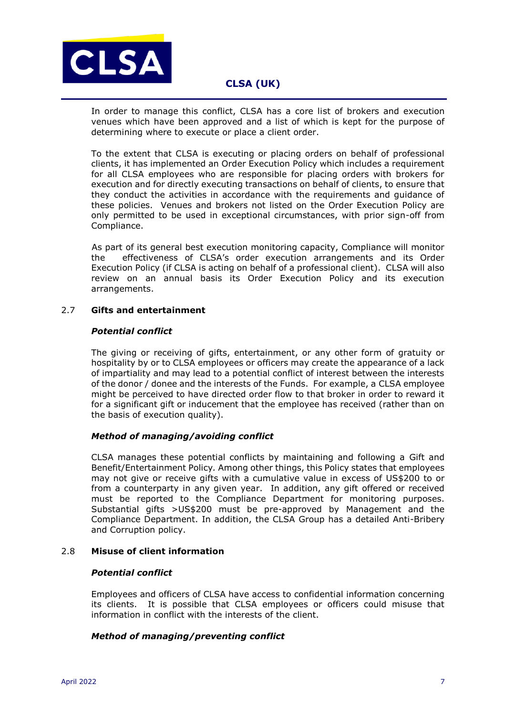

In order to manage this conflict, CLSA has a core list of brokers and execution venues which have been approved and a list of which is kept for the purpose of determining where to execute or place a client order.

To the extent that CLSA is executing or placing orders on behalf of professional clients, it has implemented an Order Execution Policy which includes a requirement for all CLSA employees who are responsible for placing orders with brokers for execution and for directly executing transactions on behalf of clients, to ensure that they conduct the activities in accordance with the requirements and guidance of these policies. Venues and brokers not listed on the Order Execution Policy are only permitted to be used in exceptional circumstances, with prior sign-off from Compliance.

As part of its general best execution monitoring capacity, Compliance will monitor the effectiveness of CLSA's order execution arrangements and its Order Execution Policy (if CLSA is acting on behalf of a professional client). CLSA will also review on an annual basis its Order Execution Policy and its execution arrangements.

## 2.7 **Gifts and entertainment**

### *Potential conflict*

The giving or receiving of gifts, entertainment, or any other form of gratuity or hospitality by or to CLSA employees or officers may create the appearance of a lack of impartiality and may lead to a potential conflict of interest between the interests of the donor / donee and the interests of the Funds. For example, a CLSA employee might be perceived to have directed order flow to that broker in order to reward it for a significant gift or inducement that the employee has received (rather than on the basis of execution quality).

### *Method of managing/avoiding conflict*

CLSA manages these potential conflicts by maintaining and following a Gift and Benefit/Entertainment Policy*.* Among other things, this Policy states that employees may not give or receive gifts with a cumulative value in excess of US\$200 to or from a counterparty in any given year. In addition, any gift offered or received must be reported to the Compliance Department for monitoring purposes. Substantial gifts >US\$200 must be pre-approved by Management and the Compliance Department. In addition, the CLSA Group has a detailed Anti-Bribery and Corruption policy.

### 2.8 **Misuse of client information**

### *Potential conflict*

Employees and officers of CLSA have access to confidential information concerning its clients. It is possible that CLSA employees or officers could misuse that information in conflict with the interests of the client.

## *Method of managing/preventing conflict*